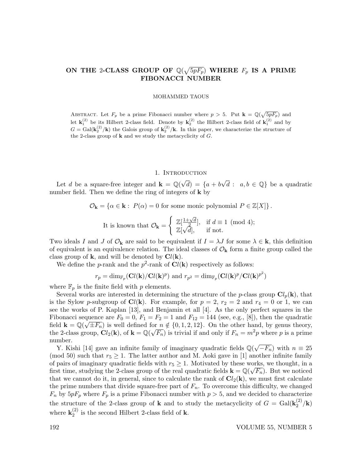# ON THE 2-CLASS GROUP OF  $\mathbb{Q}(\sqrt{5pF_p})$  where  $F_p$  is a prime FIBONACCI NUMBER

#### MOHAMMED TAOUS

ABSTRACT. Let  $F_p$  be a prime Fibonacci number where  $p > 5$ . Put  $\mathbf{k} = \mathbb{Q}(\sqrt{5pF_p})$  and let  $\mathbf{k}_1^{(2)}$  be its Hilbert 2-class field. Denote by  $\mathbf{k}_2^{(2)}$  the Hilbert 2-class field of  $\mathbf{k}_1^{(2)}$  and by  $G = \text{Gal}(\mathbf{k}_2^{(2)}/\mathbf{k})$  the Galois group of  $\mathbf{k}_2^{(2)}/\mathbf{k}$ . In this paper, we characterize the structure of the 2-class group of  ${\bf k}$  and we study the metacyclicity of  $G.$ 

#### 1. INTRODUCTION

Let d be a square-free integer and  $\mathbf{k} = \mathbb{Q}(\sqrt{\phantom{a}})$  $d) = \{a + b$  $\sqrt{d}$  :  $a, b \in \mathbb{Q}$  be a quadratic number field. Then we define the ring of integers of **k** by

 $\mathcal{O}_{\mathbf{k}} = \{ \alpha \in \mathbf{k} : P(\alpha) = 0 \text{ for some monic polynomial } P \in \mathbb{Z}[X] \}.$ 

It is known that 
$$
\mathcal{O}_{\mathbf{k}} = \begin{cases} \mathbb{Z}[\frac{1+\sqrt{d}}{2}], & \text{if } d \equiv 1 \pmod{4}; \\ \mathbb{Z}[\sqrt{d}], & \text{if not.} \end{cases}
$$

Two ideals I and J of  $\mathcal{O}_{\mathbf{k}}$  are said to be equivalent if  $I = \lambda J$  for some  $\lambda \in \mathbf{k}$ , this definition of equivalent is an equivalence relation. The ideal classes of  $\mathcal{O}_{k}$  form a finite group called the class group of **k**, and will be denoted by  $\mathbf{C}l(\mathbf{k})$ .

We define the *p*-rank and the  $p^2$ -rank of  $Cl(\mathbf{k})$  respectively as follows:

$$
r_p = \dim_{\mathbb{F}_p} (\mathbf{C}l(\mathbf{k})/\mathbf{C}l(\mathbf{k})^p) \text{ and } r_{p^2} = \dim_{\mathbb{F}_p} (\mathbf{C}l(\mathbf{k})^p/\mathbf{C}l(\mathbf{k})^{p^2})
$$

where  $\mathbb{F}_p$  is the finite field with p elements.

Several works are interested in determining the structure of the p-class group  $\mathbf{C}l_p(\mathbf{k})$ , that is the Sylow p-subgroup of  $Cl(k)$ . For example, for  $p = 2$ ,  $r_2 = 2$  and  $r_4 = 0$  or 1, we can see the works of P. Kaplan [13], and Benjamin et all [4]. As the only perfect squares in the Fibonacci sequence are  $F_0 = 0$ ,  $F_1 = F_2 = 1$  and  $F_{12} = 144$  (see, e.g., [8]), then the quadratic field  $\mathbf{k} = \mathbb{Q}(\sqrt{\pm F_n})$  is well defined for  $n \notin \{0, 1, 2, 12\}$ . On the other hand, by genus theory, the 2-class group,  $Cl_2(k)$ , of  $k = \mathbb{Q}(\sqrt{F_n})$  is trivial if and only if  $F_n = m^2p$  where p is a prime number.

moer.<br>Y. Kishi [14] gave an infinite family of imaginary quadratic fields  $\mathbb{Q}(\sqrt{\ }$  $\overline{-F_n}$ ) with  $n \equiv 25$ (mod 50) such that  $r_5 \geq 1$ . The latter author and M. Aoki gave in [1] another infinite family of pairs of imaginary quadratic fields with  $r_5 \geq 1$ . Motivated by these works, we thought, in a first time, studying the 2-class group of the real quadratic fields  $\mathbf{k} = \mathbb{Q}(\sqrt{F_n})$ . But we noticed that we cannot do it, in general, since to calculate the rank of  $Cl_2(k)$ , we must first calculate the prime numbers that divide square-free part of  $F_n$ . To overcome this difficulty, we changed  $F_n$  by  $5pF_p$  where  $F_p$  is a prime Fibonacci number with  $p > 5$ , and we decided to characterize the structure of the 2-class group of **k** and to study the metacyclicity of  $G = \text{Gal}(\mathbf{k}_2^{(2)})$  $2^{(2)}/k)$ where  $\mathbf{k}_2^{(2)}$  $\binom{2}{2}$  is the second Hilbert 2-class field of **k**.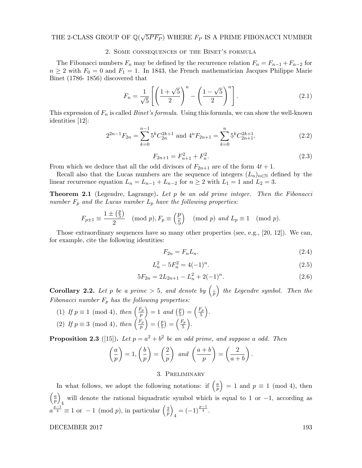#### THE 2-CLASS GROUP OF  $\mathbb{Q}(\sqrt{2})$  $\overline{5PF_P})$  where  $F_P$  is a prime fibonacci number

#### 2. Some consequences of the Binet's formula

The Fibonacci numbers  $F_n$  may be defined by the recurrence relation  $F_n = F_{n-1} + F_{n-2}$  for  $n \geq 2$  with  $F_0 = 0$  and  $F_1 = 1$ . In 1843, the French mathematician Jacques Philippe Marie Binet (1786- 1856) discovered that

$$
F_n = \frac{1}{\sqrt{5}} \left[ \left( \frac{1+\sqrt{5}}{2} \right)^n - \left( \frac{1-\sqrt{5}}{2} \right)^n \right]. \tag{2.1}
$$

This expression of  $F_n$  is called *Binet's formula*. Using this formula, we can show the well-known identities [12]:

$$
2^{2n-1}F_{2n} = \sum_{k=0}^{n-1} 5^k C_{2n}^{2k+1} \text{ and } 4^n F_{2n+1} = \sum_{k=0}^{n} 5^k C_{2n+1}^{2k+1}.
$$
 (2.2)

$$
F_{2n+1} = F_{n+1}^2 + F_n^2. \tag{2.3}
$$

From which we deduce that all the odd divisors of  $F_{2n+1}$  are of the form  $4t + 1$ .

Recall also that the Lucas numbers are the sequence of integers  $(L_n)_{n\in\mathbb{N}}$  defined by the linear recurrence equation  $L_n = L_{n-1} + L_{n-2}$  for  $n \ge 2$  with  $L_1 = 1$  and  $L_2 = 3$ .

Theorem 2.1 (Legendre, Lagrange). Let p be an odd prime integer. Then the Fibonacci number  $F_p$  and the Lucas number  $L_p$  have the following properties:

$$
F_{p\pm 1} \equiv \frac{1 \pm \left(\frac{p}{5}\right)}{2} \pmod{p}, F_p \equiv \left(\frac{p}{5}\right) \pmod{p} \text{ and } L_p \equiv 1 \pmod{p}.
$$

Those extraordinary sequences have so many other properties (see, e.g., [20, 12]). We can, for example, cite the following identities:

$$
F_{2n} = F_n L_n. \tag{2.4}
$$

$$
L_n^2 - 5F_n^2 = 4(-1)^n. \tag{2.5}
$$

$$
5F_{2n} = 2L_{2n+1} - L_n^2 + 2(-1)^n.
$$
\n(2.6)

**Corollary 2.2.** Let p be a prime  $> 5$ , and denote by  $\left(\frac{1}{x}\right)$  $\frac{1}{p}$  the Legendre symbol. Then the Fibonacci number  $F_p$  has the following properties:

(1) If 
$$
p \equiv 1 \pmod{4}
$$
, then  $\left(\frac{F_p}{p}\right) = 1$  and  $\left(\frac{p}{5}\right) = \left(\frac{F_p}{5}\right)$ .  
(2) If  $p \equiv 3 \pmod{4}$ , then  $\left(\frac{F_p}{p}\right) = \left(\frac{p}{5}\right) = \left(\frac{F_p}{5}\right)$ .

**Proposition 2.3** ([15]). Let  $p = a^2 + b^2$  be an odd prime, and suppose a odd. Then

$$
\left(\frac{a}{p}\right) = 1, \left(\frac{b}{p}\right) = \left(\frac{2}{p}\right) \text{ and } \left(\frac{a+b}{p}\right) = \left(\frac{2}{a+b}\right).
$$

## 3. Preliminary

In what follows, we adopt the following notations: if  $\left(\frac{a}{n}\right)$  $\left(\frac{a}{p}\right) = 1$  and  $p \equiv 1 \pmod{4}$ , then  $\int_{a}$  $\frac{a}{p}$ 4 will denote the rational biquadratic symbol which is equal to 1 or −1, according as  $a^{\frac{p-1}{4}} \equiv 1$  or  $-1 \pmod{p}$ , in particular  $\left(\frac{2}{p}\right)$  $\left(\frac{2}{p}\right)$  $_4 = (-1)^{\frac{p-1}{4}}.$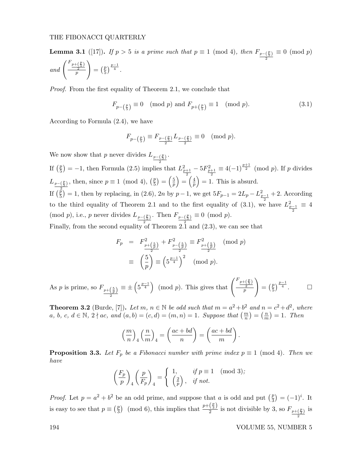**Lemma 3.1** ([17]). If  $p > 5$  is a prime such that  $p \equiv 1 \pmod{4}$ , then  $F_{\frac{p-(\frac{p}{5})}{2}}$  $\equiv 0 \pmod{p}$ and  $\left(\frac{F_{p+(\frac{p}{2})}}{p}\right)$  $\setminus$  $=\left(\frac{p}{5}\right)$  $\frac{p}{5}$  $\frac{p-1}{4}$ .

Proof. From the first equality of Theorem 2.1, we conclude that

$$
F_{p-\left(\frac{p}{5}\right)} \equiv 0 \pmod{p} \text{ and } F_{p+\left(\frac{p}{5}\right)} \equiv 1 \pmod{p}. \tag{3.1}
$$

According to Formula (2.4), we have

$$
F_{p-\left(\frac{p}{5}\right)}\equiv F_{\frac{p-\left(\frac{p}{5}\right)}{2}}L_{\frac{p-\left(\frac{p}{5}\right)}{2}}\equiv 0\pmod{p}.
$$

We now show that p never divides  $L_{\frac{p-(\frac{p}{5})}{5}}$ .

If  $\left(\frac{p}{5}\right) = -1$ , then Formula (2.5) implies  $\binom{p}{5} = -1$ , then Formula (2.5) implies that  $L_{\frac{p+1}{2}}^2 - 5F_{\frac{p+1}{2}}^2 \equiv 4(-1)^{\frac{p+1}{2}} \pmod{p}$ . If p divides  $L_{\frac{p-(\frac{p}{5})}{5}}$ , then, since  $p \equiv 1 \pmod{4}$ ,  $(\frac{p}{5})$ If  $\left(\frac{\stackrel{2}{p}}{5}\right)$  $\left(\frac{p}{p}\right) = \left(\frac{5}{p}\right)$  $\left(\frac{5}{p}\right) = \left(\frac{4}{p}\right)$  $\left(\frac{4}{p}\right) = 1$ . This is absurd.  $(\frac{p}{5}) = 1$ , then by replacing, in (2.6), 2n by p – 1, we get  $5F_{p-1} = 2L_p - L_{p-1}^2 + 2$ . According

to the third equality of Theorem 2.1 and to the first equality of (3.1), we have  $L_{\frac{p-1}{2}}^2 \equiv 4$ (mod *p*), i.e., *p* never divides  $L_{\frac{p-(\frac{p}{2})}{2}}$ . Then  $F_{\frac{p-(\frac{p}{2})}{2}}$  $\equiv 0 \pmod{p}.$ 

Finally, from the second equality of Theorem 2.1 and 
$$
(2.3)
$$
, we can see that

$$
F_p = F_{\frac{p + (\frac{5}{p})}{2}}^2 + F_{\frac{p - (\frac{5}{p})}{2}}^2 \equiv F_{\frac{p + (\frac{5}{p})}{2}}^2 \pmod{p}
$$

$$
\equiv \left(\frac{5}{p}\right) \equiv \left(5^{\frac{p-1}{4}}\right)^2 \pmod{p}.
$$

As *p* is prime, so  $F_{\frac{p+\left(\frac{5}{p}\right)}{2}}$  $\equiv \pm \left(5^{\frac{p-1}{4}}\right) \pmod{p}$ . This gives that  $\left(\frac{F_{p+\left(\frac{p}{2}\right)}}{p}\right)$  $\setminus$  $=\left(\frac{p}{5}\right)$  $\frac{p}{5}$ ) $\frac{p-1}{4}$  $\Box$ 

**Theorem 3.2** (Burde, [7]). Let m,  $n \in \mathbb{N}$  be odd such that  $m = a^2 + b^2$  and  $n = c^2 + d^2$ , where a, b, c,  $d \in \mathbb{N}$ ,  $2 \nmid ac$ , and  $(a, b) = (c, d) = (m, n) = 1$ . Suppose that  $\left(\frac{m}{n}\right) = \left(\frac{n}{m}\right)$  $\frac{n}{m}$ ) = 1. Then

$$
\left(\frac{m}{n}\right)_4 \left(\frac{n}{m}\right)_4 = \left(\frac{ac+bd}{n}\right) = \left(\frac{ac+bd}{m}\right).
$$

**Proposition 3.3.** Let  $F_p$  be a Fibonacci number with prime index  $p \equiv 1 \pmod{4}$ . Then we have

$$
\left(\frac{F_p}{p}\right)_4 \left(\frac{p}{F_p}\right)_4 = \begin{cases} 1, & \text{if } p \equiv 1 \pmod{3}; \\ \left(\frac{2}{p}\right), & \text{if } not. \end{cases}
$$

*Proof.* Let  $p = a^2 + b^2$  be an odd prime, and suppose that a is odd and put  $\left(\frac{p}{3}\right)$  $(\frac{p}{3}) = (-1)^i$ . It is easy to see that  $p \equiv \left(\frac{p}{3}\right)$  $\frac{p}{3}$  (mod 6), this implies that  $\frac{p+\left(\frac{p}{3}\right)}{2}$  $\frac{\binom{3}{2}}{2}$  is not divisible by 3, so  $F_{\frac{p+\binom{p}{3}}{2}}$ is

194 VOLUME 55, NUMBER 5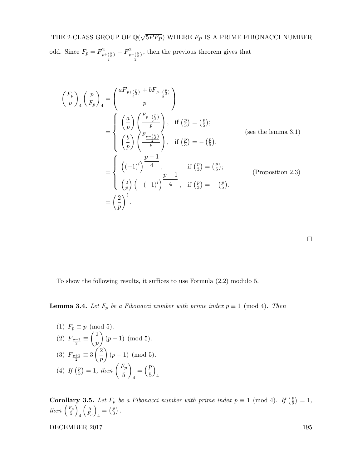THE 2-CLASS GROUP OF  $\mathbb{Q}(\sqrt{2})$  $\overline{5PF_P})$  where  $F_P$  is a prime fibonacci number odd. Since  $F_p = F_{\frac{p + (\frac{p}{3})}{2}}^2$ +  $F^2_{\frac{p-(\frac{p}{3})}{2}}$ , then the previous theorem gives that

$$
\left(\frac{F_p}{p}\right)_4 \left(\frac{p}{F_p}\right)_4 = \left(\frac{aF_{\frac{p+\binom{p}{3}}{2}} + bF_{\frac{p-\binom{p}{3}}{2}}}{p}\right)
$$
\n
$$
= \begin{cases}\n\left(\frac{a}{p}\right) \left(\frac{F_{\frac{p+\binom{p}{3}}{2}}}{p}\right), & \text{if } \left(\frac{p}{3}\right) = \binom{p}{5}; \\
\left(\frac{b}{p}\right) \left(\frac{F_{\frac{p-\binom{p}{3}}{2}}}{p}\right), & \text{if } \left(\frac{p}{3}\right) = -\binom{p}{5}. \\
\left((-1)^i\right)^{\frac{p-1}{4}}, & \text{if } \left(\frac{p}{3}\right) = \binom{p}{5}; \\
\left(\frac{2}{p}\right) \left(-(-1)^i\right)^{\frac{p-1}{4}}, & \text{if } \left(\frac{p}{3}\right) = -\binom{p}{5}. \\
\left(\frac{2}{p}\right)^i.\n\end{cases}
$$
\n
$$
(Proposition 2.3)
$$

 $\Box$ 

To show the following results, it suffices to use Formula (2.2) modulo 5.

**Lemma 3.4.** Let  $F_p$  be a Fibonacci number with prime index  $p \equiv 1 \pmod{4}$ . Then

(1) 
$$
F_p \equiv p \pmod{5}
$$
.  
\n(2)  $F_{\frac{p-1}{2}} \equiv \left(\frac{2}{p}\right)(p-1) \pmod{5}$ .  
\n(3)  $F_{\frac{p+1}{2}} \equiv 3\left(\frac{2}{p}\right)(p+1) \pmod{5}$ .  
\n(4) If  $\left(\frac{p}{5}\right) = 1$ , then  $\left(\frac{F_p}{5}\right)_4 = \left(\frac{p}{5}\right)_4$ .

**Corollary 3.5.** Let  $F_p$  be a Fibonacci number with prime index  $p \equiv 1 \pmod{4}$ . If  $\left(\frac{p}{5}\right)$  $(\frac{p}{5}) = 1,$ then  $\left(\frac{F_p}{5}\right)$  $\frac{F_p}{5}\right)$ 4  $\frac{5}{2}$  $\frac{5}{F_p}$  $\frac{p}{4} = \left(\frac{p}{3}\right)$  $\frac{p}{3}$ .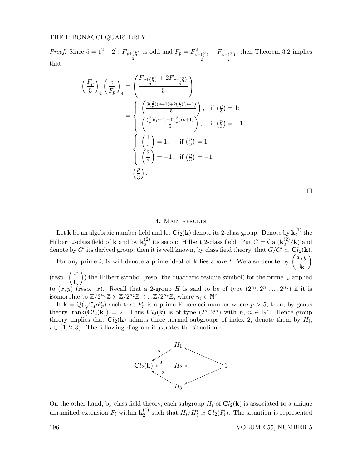*Proof.* Since  $5 = 1^2 + 2^2$ ,  $F_{\frac{p + (\frac{p}{3})}{2}}$ is odd and  $F_p = F_{\frac{p + (\frac{p}{3})}{2}}^2$  $+F^2_{\frac{p-(\frac{p}{3})}{2}}$ , then Theorem 3.2 implies that

$$
\left(\frac{F_p}{5}\right)_4 \left(\frac{5}{F_p}\right)_4 = \left(\frac{F_{\frac{p+\left(\frac{p}{3}\right)}{2}} + 2F_{\frac{p-\left(\frac{p}{3}\right)}{2}}}{5}\right)
$$
\n
$$
= \left\{\begin{array}{c}\left(\frac{3\left(\frac{2}{p}\right)(p+1) + 2\left(\frac{2}{p}\right)(p-1)}{5}\right), & \text{if } \left(\frac{p}{3}\right) = 1; \\
\left(\frac{\left(\frac{2}{p}\right)(p-1) + 6\left(\frac{2}{p}\right)(p+1)}{5}\right), & \text{if } \left(\frac{p}{3}\right) = -1.\n\end{array}\right.
$$
\n
$$
= \left\{\begin{array}{c}\left(\frac{1}{5}\right) = 1, & \text{if } \left(\frac{p}{3}\right) = 1; \\
\left(\frac{2}{5}\right) = -1, & \text{if } \left(\frac{p}{3}\right) = -1.\n\end{array}\right.
$$
\n
$$
= \left(\frac{p}{3}\right).
$$

 $\Box$ 

## 4. Main results

Let  ${\bf k}$  be an algebraic number field and let  ${\bf C}l_2({\bf k})$  denote its 2-class group. Denote by  ${\bf k}_2^{(1)}$  $_2^{(1)}$  the Hilbert 2-class field of **k** and by  $\mathbf{k}_2^{(2)}$  $\binom{2}{2}$  its second Hilbert 2-class field. Put  $G = \text{Gal}(\mathbf{k}_2^{(2)})$  $\binom{2}{2}$ **k**) and denote by G' its derived group; then it is well known, by class field theory, that  $G/G' \simeq Cl_2(\mathbf{k})$ .  $\setminus$ 

For any prime l,  $\mathfrak{l}_k$  will denote a prime ideal of **k** lies above l. We also denote by  $\left(\frac{x,y}{\mathfrak{l}}\right)$ lk

 $(\text{resp. } \left(\frac{x}{\epsilon}\right)$  $\mathfrak{l}_{\mathbf{k}}$ ) the Hilbert symbol (resp. the quadratic residue symbol) for the prime  $\mathfrak{l}_k$  applied to  $(x, y)$  (resp. x). Recall that a 2-group H is said to be of type  $(2^{n_1}, 2^{n_1}, ..., 2^{n_s})$  if it is isomorphic to  $\mathbb{Z}/2^{n_1}\mathbb{Z} \times \mathbb{Z}/2^{n_2}\mathbb{Z} \times \ldots \mathbb{Z}/2^{n_s}\mathbb{Z}$ , where  $n_i \in \mathbb{N}^*$ .

If  $\mathbf{k} = \mathbb{Q}(\sqrt{5pF_p})$  such that  $F_p$  is a prime Fibonacci number where  $p > 5$ , then, by genus theory,  $rank(\mathbf{Cl}_2(\mathbf{k})) = 2$ . Thus  $\mathbf{Cl}_2(\mathbf{k})$  is of type  $(2^n, 2^m)$  with  $n, m \in \mathbb{N}^*$ . Hence group theory implies that  $Cl_2(k)$  admits three normal subgroups of index 2, denote them by  $H_i$ ,  $i \in \{1, 2, 3\}$ . The following diagram illustrates the situation :



On the other hand, by class field theory, each subgroup  $H_i$  of  $\mathbf{C}l_2(\mathbf{k})$  is associated to a unique unramified extension  $F_i$  within  $\mathbf{k}_2^{(1)}$  $Z_2^{(1)}$  such that  $H_i/H'_i \simeq \mathbf{C}l_2(F_i)$ . The situation is represented

196 VOLUME 55, NUMBER 5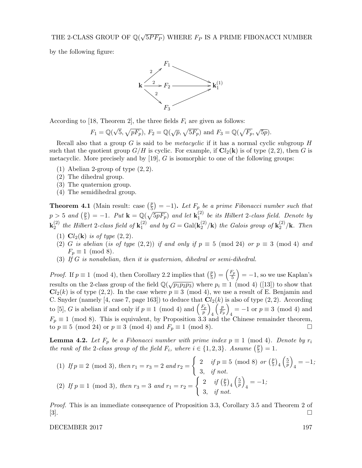by the following figure:



According to [18, Theorem 2], the three fields  $F_i$  are given as follows:

$$
F_1 = \mathbb{Q}(\sqrt{5}, \sqrt{pF_p}), F_2 = \mathbb{Q}(\sqrt{p}, \sqrt{5F_p})
$$
 and  $F_3 = \mathbb{Q}(\sqrt{F_p}, \sqrt{5p}).$ 

Recall also that a group G is said to be *metacyclic* if it has a normal cyclic subgroup  $H$ such that the quotient group  $G/H$  is cyclic. For example, if  $Cl_2(k)$  is of type  $(2, 2)$ , then G is metacyclic. More precisely and by  $[19]$ , G is isomorphic to one of the following groups:

- (1) Abelian 2-group of type  $(2, 2)$ .
- (2) The dihedral group.
- (3) The quaternion group.
- (4) The semidihedral group.

**Theorem 4.1** (Main result: case  $\left(\frac{p}{5}\right)$  $(\frac{p}{5}) = -1$ ). Let  $F_p$  be a prime Fibonacci number such that  $p > 5$  and  $\left(\frac{p}{5}\right)$  $(\frac{p}{5}) = -1$ . Put  $\mathbf{k} = \mathbb{Q}(\sqrt{5pF_p})$  and let  $\mathbf{k}_1^{(2)}$  $_1^{(2)}$  be its Hilbert 2-class field. Denote by  ${\bf k}_2^{(2)}$  $_2^{(2)}$  the Hilbert 2-class field of  $\mathbf{k}_1^{(2)}$  $_{1}^{(2)}$  and by  $G = \text{Gal}(\mathbf{k}_{2}^{(2)})$  $\binom{2}{2}$  (k) the Galois group of  $\mathbf{k}_2^{(2)}$  $n_2^{(2)}/k$ . Then

- (1)  $Cl_2(k)$  is of type  $(2, 2)$ .
- (2) G is abelian (is of type  $(2, 2)$ ) if and only if  $p \equiv 5 \pmod{24}$  or  $p \equiv 3 \pmod{4}$  and  $F_p \equiv 1 \pmod{8}.$
- (3) If G is nonabelian, then it is quaternion, dihedral or semi-dihedral.

*Proof.* If  $p \equiv 1 \pmod{4}$ , then Corollary 2.2 implies that  $\left(\frac{p}{5}\right)$  $\left(\frac{p}{5}\right)=\left(\frac{F_p}{5}\right)$  $\left(\frac{F_p}{5}\right) = -1$ , so we use Kaplan's results on the 2-class group of the field  $\mathbb{Q}(\sqrt{p_1p_2p_3})$  where  $p_i \equiv 1 \pmod{4}$  ([13]) to show that  $\mathbf{C}l_2(k)$  is of type (2, 2). In the case where  $p \equiv 3 \pmod{4}$ , we use a result of E. Benjamin and C. Snyder (namely [4, case 7, page 163]) to deduce that  $\mathbf{C}l_2(k)$  is also of type (2, 2). According to [5], G is abelian if and only if  $p \equiv 1 \pmod{4}$  and  $\left(\frac{F_p}{p}\right)$  $\left(\frac{F_p}{p}\right)$ 4  $\left( p\right)$  $\frac{p}{F_p}$  $q = -1$  or  $p \equiv 3 \pmod{4}$  and  $F_p \equiv 1 \pmod{8}$ . This is equivalent, by Proposition 3.3 and the Chinese remainder theorem, to  $p \equiv 5 \pmod{24}$  or  $p \equiv 3 \pmod{4}$  and  $F_p \equiv 1 \pmod{8}$ .

**Lemma 4.2.** Let  $F_p$  be a Fibonacci number with prime index  $p \equiv 1 \pmod{4}$ . Denote by  $r_i$ the rank of the 2-class group of the field  $F_i$ , where  $i \in \{1, 2, 3\}$ . Assume  $\left(\frac{p}{5}\right)$  $(\frac{p}{5}) = 1.$ 

(1) If 
$$
p \equiv 2 \pmod{3}
$$
, then  $r_1 = r_3 = 2$  and  $r_2 = \begin{cases} 2 & \text{if } p \equiv 5 \pmod{8} \text{ or } \left(\frac{p}{5}\right)_4 \left(\frac{5}{p}\right)_4 = -1; \\ 3 & \text{if } not. \end{cases}$   
\n(2) If  $p \equiv 1 \pmod{3}$ , then  $r_3 = 3$  and  $r_1 = r_2 = \begin{cases} 2 & \text{if } \left(\frac{p}{5}\right)_4 \left(\frac{5}{p}\right)_4 = -1; \\ 3 & \text{if } not. \end{cases}$ 

Proof. This is an immediate consequence of Proposition 3.3, Corollary 3.5 and Theorem 2 of [3].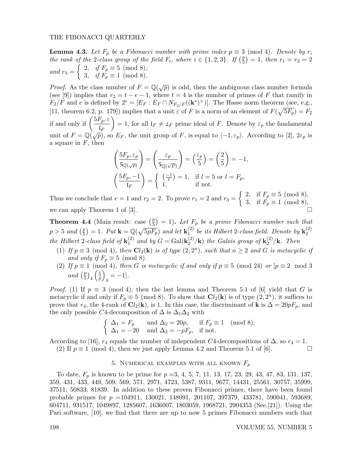**Lemma 4.3.** Let  $F_p$  be a Fibonacci number with prime index  $p \equiv 3 \pmod{4}$ . Denote by  $r_i$ the rank of the 2-class group of the field  $F_i$ , where  $i \in \{1,2,3\}$ . If  $\left(\frac{p}{5}\right)$  $(\frac{p}{5}) = 1$ , then  $r_1 = r_2 = 2$ and  $r_3 = \begin{cases} 2, & \text{if } F_p \equiv 5 \pmod{8}; \\ 3 & \text{if } F = 1 \pmod{8}. \end{cases}$ 3, if  $F_p \equiv 1 \pmod{8}$ .

*Proof.* As the class number of  $F = \mathbb{Q}(\sqrt{p})$  is odd, then the ambiguous class number formula (see [9]) implies that  $r_2 = t - e - 1$ , where  $t = 4$  is the number of primes of F that ramify in  $F_2/F$  and e is defined by  $2^e = [E_F : E_F \cap N_{F_2/F}((\mathbf{k}^*)^{\times})]$ . The Hasse norm theorem (see, e.g., [11, theorem 6.2, p. 179]) implies that a unit  $\varepsilon$  of F is a norm of an element of  $F(\sqrt{5F_p}) = F_2$ if and only if  $\left(\frac{5F_p}{\epsilon}\right)$  $\mathfrak{l}_F$ = 1, for all  $\mathfrak{l}_F \neq \mathfrak{2}_F$  prime ideal of F. Denote by  $\varepsilon_p$  the fundamental unit of  $F = \mathbb{Q}(\sqrt{p})$ , so  $E_F$ , the unit group of F, is equal to  $\langle -1, \varepsilon_p \rangle$ . According to [2],  $2\varepsilon_p$  is a square in  $F$ , then

$$
\begin{pmatrix} 5F_p, \varepsilon_p \\ 5\mathbb{Q}(\sqrt{p}) \end{pmatrix} = \begin{pmatrix} \varepsilon_p \\ 5\mathbb{Q}(\sqrt{p}) \end{pmatrix} = \begin{pmatrix} \varepsilon_p \\ 5 \end{pmatrix} = \begin{pmatrix} 2 \\ 5 \end{pmatrix} = -1,
$$
  

$$
\begin{pmatrix} 5F_p, -1 \\ I_F \end{pmatrix} = \begin{cases} \left(-\frac{1}{l}\right) = 1, & \text{if } l = 5 \text{ or } l = F_p, \\ 1, & \text{if } \text{not.} \end{cases}
$$

Thus we conclude that  $e = 1$  and  $r_2 = 2$ . To prove  $r_1 = 2$  and  $r_3 = \begin{cases} 2, & \text{if } F_p \equiv 5 \pmod{8} \\ 3, & \text{if } F_p = 1 \pmod{8} \end{cases}$ 3, if  $F_p \equiv 1 \pmod{8}$ , we can apply Theorem 1 of [3].

**Theorem 4.4** (Main result: case  $\left(\frac{p}{5}\right)$  $(\frac{p}{5}) = 1$ ). Let  $F_p$  be a prime Fibonacci number such that  $p > 5$  and  $\left(\frac{p}{5}\right)$  $(\frac{p}{5}) = 1$ . Put  $\mathbf{k} = \mathbb{Q}(\sqrt{5pF_p})$  and let  $\mathbf{k}_1^{(2)}$  $_1^{(2)}$  be its Hilbert 2-class field. Denote by  $\mathbf{k}_2^{(2)}$ 2 the Hilbert 2-class field of  $\mathbf{k}_1^{(2)}$  $_1^{(2)}$  and by  $G = \text{Gal}(\mathbf{k}_2^{(2)})$  $\binom{2}{2}$  (k) the Galois group of  $\mathbf{k}_2^{(2)}$  $n_2^{(2)}/k$ . Then

- (1) If  $p \equiv 3 \pmod{4}$ , then  $\mathbf{C}l_2(\mathbf{k})$  is of type  $(2, 2^n)$ , such that  $n \geq 2$  and G is metacyclic if and only if  $F_p \equiv 5 \pmod{8}$ .
- (2) If  $p \equiv 1 \pmod{4}$ , then G is metacyclic if and only if  $p \equiv 5 \pmod{24}$  or  $[p \equiv 2 \mod 3]$ and  $(\frac{p}{5})$  $\left(\frac{p}{p}\right)_4\left(\frac{5}{p}\right)$  $\frac{5}{p}$  $_{4} = -1$ .

*Proof.* (1) If  $p \equiv 3 \pmod{4}$ , then the last lemma and Theorem 5.1 of [6] yield that G is metacyclic if and only if  $F_p \equiv 5 \pmod{8}$ . To show that  $\mathbf{C}l_2(\mathbf{k})$  is of type  $(2, 2^n)$ , it suffices to prove that  $r_4$ , the 4-rank of  $\mathbf{C}l_2(\mathbf{k})$ , is 1. In this case, the discriminant of **k** is  $\Delta = 20pF_p$ , and the only possible C4-decomposition of  $\Delta$  is  $\Delta_1\Delta_2$  with

$$
\begin{cases} \Delta_1 = F_p & \text{and } \Delta_2 = 20p, \\ \Delta_1 = -20 & \text{and } \Delta_2 = -pF_p, \text{ if not.} \end{cases} \pmod{8};
$$

According to [16],  $r_4$  equals the number of independent C4-decompositions of  $\Delta$ , so  $r_4 = 1$ .

(2) If  $p \equiv 1 \pmod{4}$ , then we just apply Lemma 4.2 and Theorem 5.1 of [6].

## 5. NUMERICAL EXAMPLES WITH ALL KNOWN  $F_p$

To date,  $F_p$  is known to be prime for  $p = 3, 4, 5, 7, 11, 13, 17, 23, 29, 43, 47, 83, 131, 137,$ 359, 431, 433, 449, 509, 569, 571, 2971, 4723, 5387, 9311, 9677, 14431, 25561, 30757, 35999, 37511, 50833, 81839. In addition to these proven Fibonacci primes, there have been found probable primes for p =104911, 130021, 148091, 201107, 397379, 433781, 590041, 593689, 604711, 931517, 1049897, 1285607, 1636007, 1803059, 1968721, 2904353 (See.[21]). Using the Pari software, [10], we find that there are up to now 5 primes Fibonacci numbers such that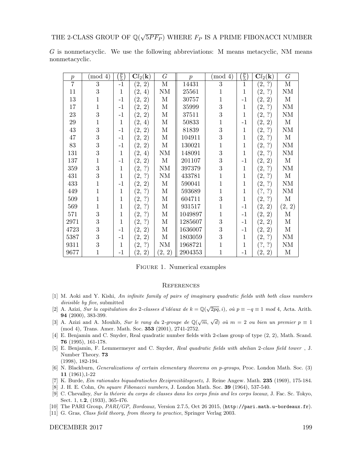| $\boldsymbol{p}$ | (mod 4)        | $\frac{p}{5}$ | $\mathbf{C}l_2(\mathbf{k})$ | $\overline{G}$ | $\boldsymbol{p}$ | $\pmod{4}$     | $\left(\frac{p}{5}\right)$ | $\mathbf{C}l_2(\mathbf{k})$ | $\overline{G}$          |
|------------------|----------------|---------------|-----------------------------|----------------|------------------|----------------|----------------------------|-----------------------------|-------------------------|
| $\overline{7}$   | $\overline{3}$ | $-1$          | (2, 2)                      | $\mathbf{M}$   | 14431            | $\overline{3}$ | 1                          | $(2,\overline{?)}$          | $\overline{\mathbf{M}}$ |
| 11               | 3              | 1             | $\hat{2},$<br>4)            | $\rm NM$       | 25561            | $\mathbf{1}$   | $\mathbf{1}$               | (2, ?)                      | $\rm NM$                |
| 13               | $\mathbf{1}$   | $-1$          | (2, 2)                      | М              | 30757            | 1              | $-1$                       | (2, 2)                      | $\mathbf{M}$            |
| 17               | 1              | $-1$          | (2, 2)                      | М              | 35999            | 3              | $\mathbf{1}$               | (2, ?)                      | NM                      |
| 23               | 3              | $-1$          | (2, 2)                      | М              | 37511            | 3              | $\mathbf{1}$               | (2, ?)                      | NM                      |
| $\,29$           | 1              | 1             | (2, 4)                      | М              | 50833            | $\mathbf 1$    | $-1$                       | (2, 2)                      | М                       |
| 43               | 3              | $-1$          | $(2,\,2)$                   | М              | 81839            | 3              | 1                          | (2, ?)                      | $\mathrm{NM}$           |
| 47               | 3              | $-1$          | $(2,\,2)$                   | M              | 104911           | 3              | $\mathbf{1}$               | (2, ?)                      | М                       |
| 83               | 3              | $-1$          | (2, 2)                      | М              | 130021           | 1              | 1                          | (2, ?)                      | $\rm NM$                |
| 131              | 3              | $\mathbf{1}$  | (2, 4)                      | NM             | 148091           | 3              | $\mathbf 1$                | (2, ?)                      | NM                      |
| 137              | 1              | $-1$          | (2, 2)                      | М              | 201107           | 3              | $-1$                       | $(2,\,2)$                   | М                       |
| 359              | 3              | 1             | (2, ?)                      | $\rm NM$       | 397379           | 3              | 1                          | (2, ?)                      | NM                      |
| 431              | 3              | $\mathbf 1$   | (2, ?)                      | NM             | 433781           | 1              | $\mathbf{1}$               | (2, ?)                      | $\mathbf{M}$            |
| 433              | $\mathbf 1$    | $-1$          | (2, 2)                      | $\mathbf M$    | 590041           | $\mathbf{1}$   | $\mathbf{1}$               | (2, ?)                      | NM                      |
| 449              | 1              | 1             | (2, ?)                      | М              | 593689           | 1              | $\mathbf{1}$               | (?, ?)                      | NM                      |
| 509              | 1              | 1             | (2, ?)                      | М              | 604711           | 3              | 1                          | (2, ?)                      | $\mathbf{M}$            |
| 569              | 1              | $\mathbf 1$   | (2, ?)                      | M              | 931517           | 1              | $-1$                       | (2, 2)                      | (2, 2)                  |
| 571              | 3              | 1             | (2, ?)                      | М              | 1049897          | 1              | $-1$                       | (2, 2)                      | М                       |
| 2971             | 3              | $\mathbf{1}$  | (2, ?)                      | М              | 1285607          | 3              | $-1$                       | (2, 2)                      | М                       |
| 4723             | 3              | $-1$          | (2, 2)                      | М              | 1636007          | 3              | $-1$                       | $(2,\,2)$                   | М                       |
| 5387             | 3              | $-1$          | $(2,\,2)$                   | $\mathbf M$    | 1803059          | 3              | 1                          | (2, ?)                      | $\mathrm{NM}$           |
| 9311             | 3              | 1             | (2, ?)                      | NM             | 1968721          | 1              | $\mathbf{1}$               | (?,<br>?)                   | NM                      |
| 9677             |                | $-1$          | (2, 2)                      | (2, 2)         | 2904353          | 1              | $-1$                       | (2, 2)                      | $\mathbf{M}$            |

G is nonmetacyclic. We use the following abbreviations: M means metacyclic, NM means nonmetacyclic.

Figure 1. Numerical examples

#### **REFERENCES**

- [1] M. Aoki and Y. Kishi, An infinite family of pairs of imaginary quadratic fields with both class numbers divisible by five, submitted
- *atosiole og jive*, subfinited<br>[2] A. Azizi, *Sur la capitulation des 2-classes d'idéaux de k* = Q( $\sqrt{2pq}, i$ ), *où*  $p \equiv -q \equiv 1 \mod 4$ , Acta. Arith. 94 (2000), 383-399.
- **34** (2000), 383-399.<br>[3] A. Azizi and A. Mouhib, Sur le rang du 2-groupe de  $\mathbb{Q}(\sqrt{m}, \sqrt{d})$  où  $m = 2$  ou bien un premier  $p \equiv 1$ (mod 4), Trans. Amer. Math. Soc. 353 (2001), 2741-2752.
- [4] E. Benjamin and C. Snyder, Real quadratic number fields with 2-class group of type (2, 2), Math. Scand. 76 (1995), 161-178.
- [5] E. Benjamin, F. Lemmermeyer and C. Snyder, Real quadratic fields with abelian 2-class field tower , J. Number Theory. 73 (1998), 182-194.
- [6] N. Blackburn, Generalizations of certain elementary theorems on p-groups, Proc. London Math. Soc. (3) 11 (1961),1-22
- [7] K. Burde, *Ein rationales biquadratisches Reziprozitätsgesetz*, J. Reine Angew. Math. **235** (1969), 175-184.
- [8] J. H. E. Cohn, On square Fibonacci numbers, J. London Math. Soc. 39 (1964), 537-540.
- [9] C. Chevalley, Sur la théorie du corps de classes dans les corps finis and les corps locaux, J. Fac. Sc. Tokyo, Sect. 1, t.2, (1933), 365-476.
- [10] The PARI Group, PARI/GP, Bordeaux, Version 2.7.5, Oct 26 2015, (http://pari.math.u-bordeaux.fr).
- [11] G. Gras, *Class field theory, from theory to practice*, Springer Verlag 2003.